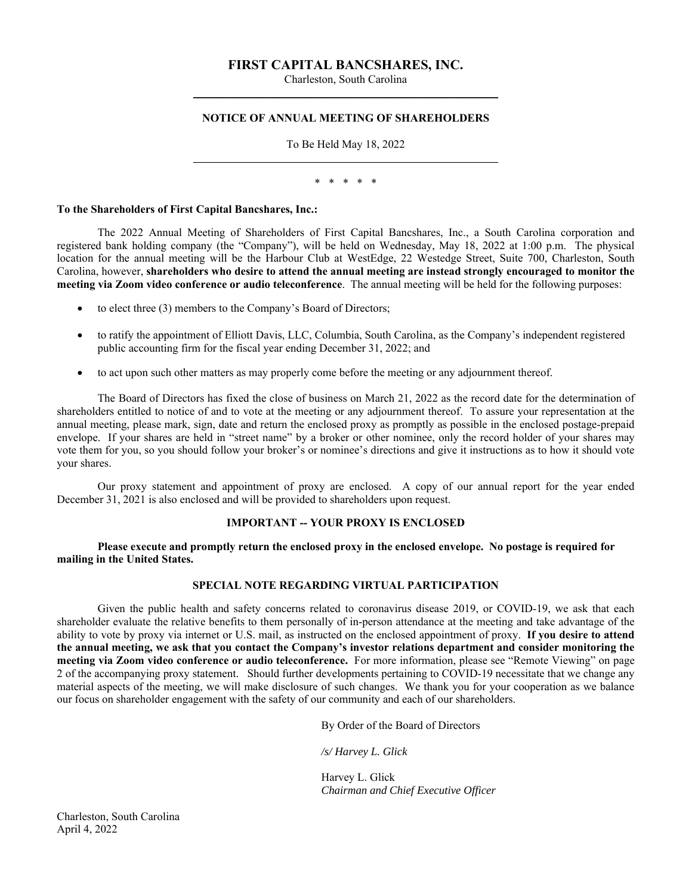# **FIRST CAPITAL BANCSHARES, INC.**

Charleston, South Carolina \_\_\_\_\_\_\_\_\_\_\_\_\_\_\_\_\_\_\_\_\_\_\_\_\_\_\_\_\_\_\_\_\_\_\_\_\_\_\_\_\_\_\_\_\_\_\_\_\_\_\_\_\_\_

# **NOTICE OF ANNUAL MEETING OF SHAREHOLDERS**

To Be Held May 18, 2022  $\mathcal{L}_\text{max}$  and  $\mathcal{L}_\text{max}$  and  $\mathcal{L}_\text{max}$  and  $\mathcal{L}_\text{max}$  and  $\mathcal{L}_\text{max}$ 

\* \* \* \* \*

#### **To the Shareholders of First Capital Bancshares, Inc.:**

The 2022 Annual Meeting of Shareholders of First Capital Bancshares, Inc., a South Carolina corporation and registered bank holding company (the "Company"), will be held on Wednesday, May 18, 2022 at 1:00 p.m. The physical location for the annual meeting will be the Harbour Club at WestEdge, 22 Westedge Street, Suite 700, Charleston, South Carolina, however, **shareholders who desire to attend the annual meeting are instead strongly encouraged to monitor the meeting via Zoom video conference or audio teleconference**. The annual meeting will be held for the following purposes:

- to elect three (3) members to the Company's Board of Directors;
- to ratify the appointment of Elliott Davis, LLC, Columbia, South Carolina, as the Company's independent registered public accounting firm for the fiscal year ending December 31, 2022; and
- to act upon such other matters as may properly come before the meeting or any adjournment thereof.

The Board of Directors has fixed the close of business on March 21, 2022 as the record date for the determination of shareholders entitled to notice of and to vote at the meeting or any adjournment thereof. To assure your representation at the annual meeting, please mark, sign, date and return the enclosed proxy as promptly as possible in the enclosed postage-prepaid envelope. If your shares are held in "street name" by a broker or other nominee, only the record holder of your shares may vote them for you, so you should follow your broker's or nominee's directions and give it instructions as to how it should vote your shares.

Our proxy statement and appointment of proxy are enclosed. A copy of our annual report for the year ended December 31, 2021 is also enclosed and will be provided to shareholders upon request.

# **IMPORTANT -- YOUR PROXY IS ENCLOSED**

**Please execute and promptly return the enclosed proxy in the enclosed envelope. No postage is required for mailing in the United States.** 

# **SPECIAL NOTE REGARDING VIRTUAL PARTICIPATION**

Given the public health and safety concerns related to coronavirus disease 2019, or COVID-19, we ask that each shareholder evaluate the relative benefits to them personally of in-person attendance at the meeting and take advantage of the ability to vote by proxy via internet or U.S. mail, as instructed on the enclosed appointment of proxy. **If you desire to attend the annual meeting, we ask that you contact the Company's investor relations department and consider monitoring the meeting via Zoom video conference or audio teleconference.** For more information, please see "Remote Viewing" on page 2 of the accompanying proxy statement. Should further developments pertaining to COVID-19 necessitate that we change any material aspects of the meeting, we will make disclosure of such changes. We thank you for your cooperation as we balance our focus on shareholder engagement with the safety of our community and each of our shareholders.

By Order of the Board of Directors

*/s/ Harvey L. Glick* 

Harvey L. Glick *Chairman and Chief Executive Officer* 

Charleston, South Carolina April 4, 2022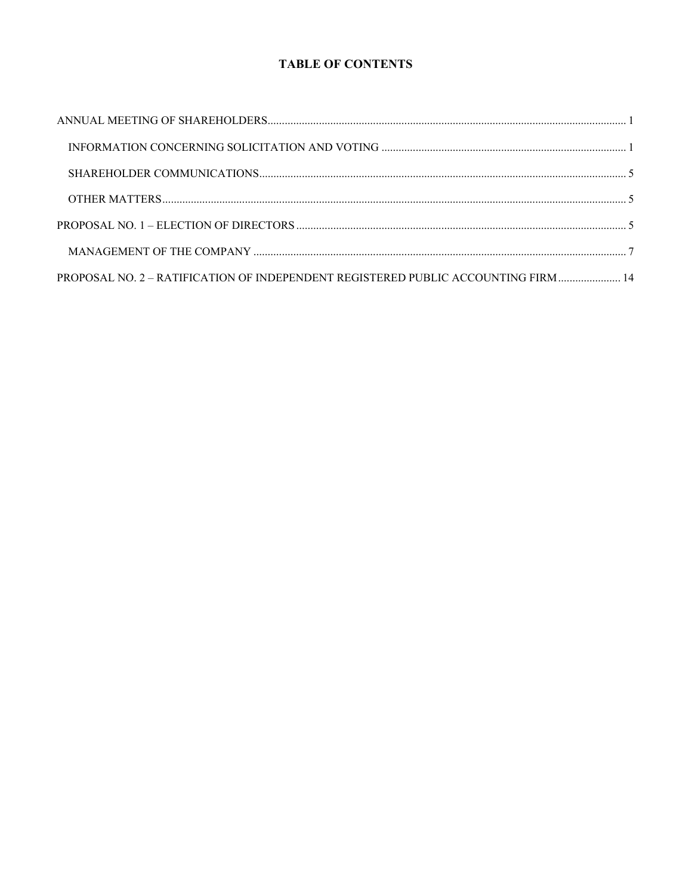# **TABLE OF CONTENTS**

| PROPOSAL NO. 2 - RATIFICATION OF INDEPENDENT REGISTERED PUBLIC ACCOUNTING FIRM  14 |  |
|------------------------------------------------------------------------------------|--|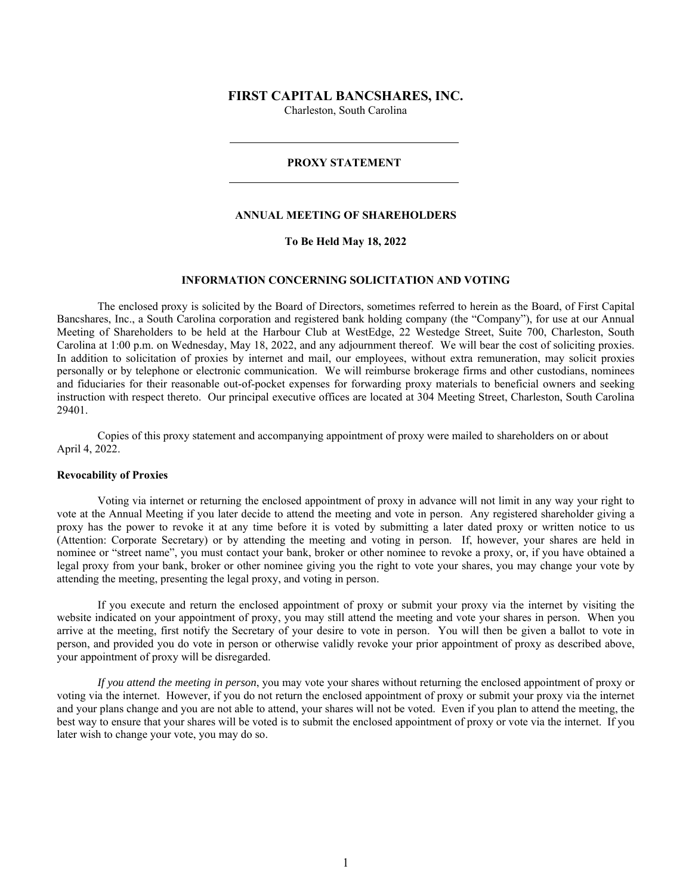# **FIRST CAPITAL BANCSHARES, INC.**

Charleston, South Carolina

#### **PROXY STATEMENT**

#### **ANNUAL MEETING OF SHAREHOLDERS**

# **To Be Held May 18, 2022**

# **INFORMATION CONCERNING SOLICITATION AND VOTING**

 The enclosed proxy is solicited by the Board of Directors, sometimes referred to herein as the Board, of First Capital Bancshares, Inc., a South Carolina corporation and registered bank holding company (the "Company"), for use at our Annual Meeting of Shareholders to be held at the Harbour Club at WestEdge, 22 Westedge Street, Suite 700, Charleston, South Carolina at 1:00 p.m. on Wednesday, May 18, 2022, and any adjournment thereof. We will bear the cost of soliciting proxies. In addition to solicitation of proxies by internet and mail, our employees, without extra remuneration, may solicit proxies personally or by telephone or electronic communication. We will reimburse brokerage firms and other custodians, nominees and fiduciaries for their reasonable out-of-pocket expenses for forwarding proxy materials to beneficial owners and seeking instruction with respect thereto. Our principal executive offices are located at 304 Meeting Street, Charleston, South Carolina 29401.

Copies of this proxy statement and accompanying appointment of proxy were mailed to shareholders on or about April 4, 2022.

#### **Revocability of Proxies**

 Voting via internet or returning the enclosed appointment of proxy in advance will not limit in any way your right to vote at the Annual Meeting if you later decide to attend the meeting and vote in person. Any registered shareholder giving a proxy has the power to revoke it at any time before it is voted by submitting a later dated proxy or written notice to us (Attention: Corporate Secretary) or by attending the meeting and voting in person. If, however, your shares are held in nominee or "street name", you must contact your bank, broker or other nominee to revoke a proxy, or, if you have obtained a legal proxy from your bank, broker or other nominee giving you the right to vote your shares, you may change your vote by attending the meeting, presenting the legal proxy, and voting in person.

If you execute and return the enclosed appointment of proxy or submit your proxy via the internet by visiting the website indicated on your appointment of proxy, you may still attend the meeting and vote your shares in person. When you arrive at the meeting, first notify the Secretary of your desire to vote in person. You will then be given a ballot to vote in person, and provided you do vote in person or otherwise validly revoke your prior appointment of proxy as described above, your appointment of proxy will be disregarded.

*If you attend the meeting in person*, you may vote your shares without returning the enclosed appointment of proxy or voting via the internet. However, if you do not return the enclosed appointment of proxy or submit your proxy via the internet and your plans change and you are not able to attend, your shares will not be voted. Even if you plan to attend the meeting, the best way to ensure that your shares will be voted is to submit the enclosed appointment of proxy or vote via the internet. If you later wish to change your vote, you may do so.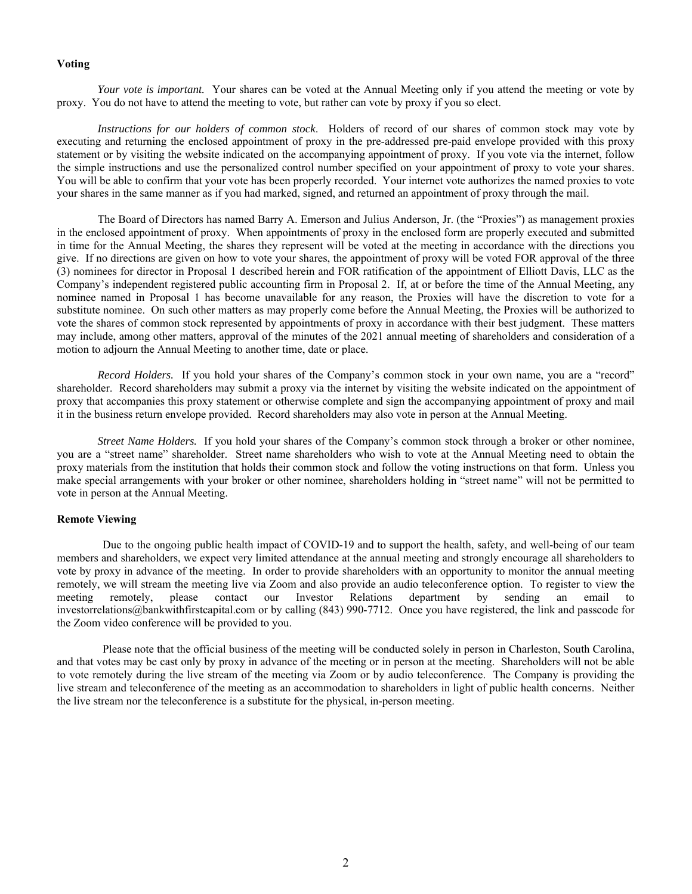## **Voting**

*Your vote is important.* Your shares can be voted at the Annual Meeting only if you attend the meeting or vote by proxy. You do not have to attend the meeting to vote, but rather can vote by proxy if you so elect.

*Instructions for our holders of common stock*. Holders of record of our shares of common stock may vote by executing and returning the enclosed appointment of proxy in the pre-addressed pre-paid envelope provided with this proxy statement or by visiting the website indicated on the accompanying appointment of proxy. If you vote via the internet, follow the simple instructions and use the personalized control number specified on your appointment of proxy to vote your shares. You will be able to confirm that your vote has been properly recorded. Your internet vote authorizes the named proxies to vote your shares in the same manner as if you had marked, signed, and returned an appointment of proxy through the mail.

The Board of Directors has named Barry A. Emerson and Julius Anderson, Jr. (the "Proxies") as management proxies in the enclosed appointment of proxy. When appointments of proxy in the enclosed form are properly executed and submitted in time for the Annual Meeting, the shares they represent will be voted at the meeting in accordance with the directions you give. If no directions are given on how to vote your shares, the appointment of proxy will be voted FOR approval of the three (3) nominees for director in Proposal 1 described herein and FOR ratification of the appointment of Elliott Davis, LLC as the Company's independent registered public accounting firm in Proposal 2. If, at or before the time of the Annual Meeting, any nominee named in Proposal 1 has become unavailable for any reason, the Proxies will have the discretion to vote for a substitute nominee. On such other matters as may properly come before the Annual Meeting, the Proxies will be authorized to vote the shares of common stock represented by appointments of proxy in accordance with their best judgment. These matters may include, among other matters, approval of the minutes of the 2021 annual meeting of shareholders and consideration of a motion to adjourn the Annual Meeting to another time, date or place.

*Record Holders.* If you hold your shares of the Company's common stock in your own name, you are a "record" shareholder. Record shareholders may submit a proxy via the internet by visiting the website indicated on the appointment of proxy that accompanies this proxy statement or otherwise complete and sign the accompanying appointment of proxy and mail it in the business return envelope provided. Record shareholders may also vote in person at the Annual Meeting.

*Street Name Holders.* If you hold your shares of the Company's common stock through a broker or other nominee, you are a "street name" shareholder. Street name shareholders who wish to vote at the Annual Meeting need to obtain the proxy materials from the institution that holds their common stock and follow the voting instructions on that form. Unless you make special arrangements with your broker or other nominee, shareholders holding in "street name" will not be permitted to vote in person at the Annual Meeting.

# **Remote Viewing**

Due to the ongoing public health impact of COVID-19 and to support the health, safety, and well-being of our team members and shareholders, we expect very limited attendance at the annual meeting and strongly encourage all shareholders to vote by proxy in advance of the meeting. In order to provide shareholders with an opportunity to monitor the annual meeting remotely, we will stream the meeting live via Zoom and also provide an audio teleconference option. To register to view the meeting remotely, please contact our Investor Relations department by sending an email to investorrelations@bankwithfirstcapital.com or by calling (843) 990-7712. Once you have registered, the link and passcode for the Zoom video conference will be provided to you.

Please note that the official business of the meeting will be conducted solely in person in Charleston, South Carolina, and that votes may be cast only by proxy in advance of the meeting or in person at the meeting. Shareholders will not be able to vote remotely during the live stream of the meeting via Zoom or by audio teleconference. The Company is providing the live stream and teleconference of the meeting as an accommodation to shareholders in light of public health concerns. Neither the live stream nor the teleconference is a substitute for the physical, in-person meeting.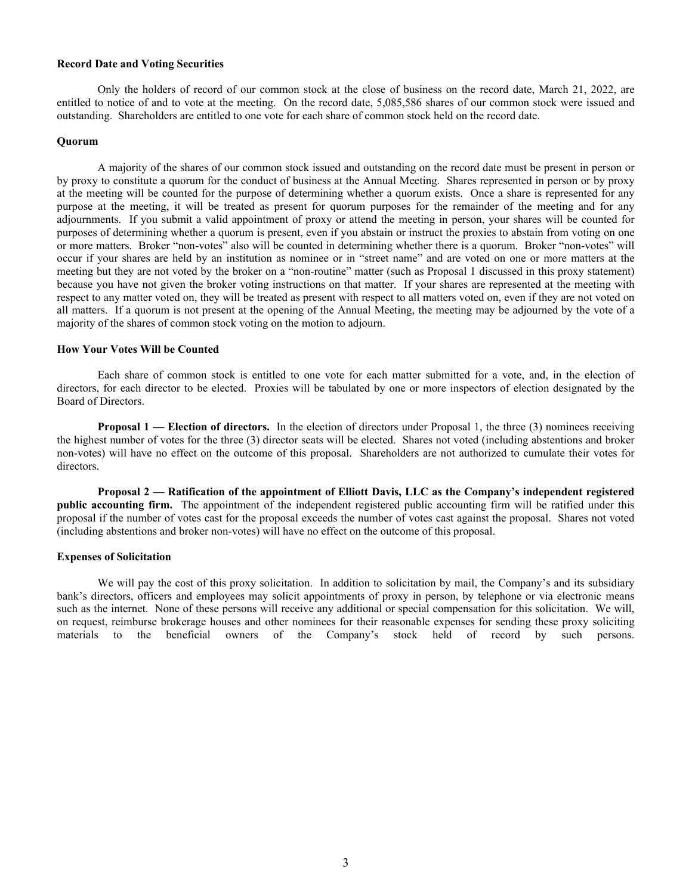# **Record Date and Voting Securities**

Only the holders of record of our common stock at the close of business on the record date, March 21, 2022, are entitled to notice of and to vote at the meeting. On the record date, 5,085,586 shares of our common stock were issued and outstanding. Shareholders are entitled to one vote for each share of common stock held on the record date.

#### **Quorum**

A majority of the shares of our common stock issued and outstanding on the record date must be present in person or by proxy to constitute a quorum for the conduct of business at the Annual Meeting. Shares represented in person or by proxy at the meeting will be counted for the purpose of determining whether a quorum exists. Once a share is represented for any purpose at the meeting, it will be treated as present for quorum purposes for the remainder of the meeting and for any adjournments. If you submit a valid appointment of proxy or attend the meeting in person, your shares will be counted for purposes of determining whether a quorum is present, even if you abstain or instruct the proxies to abstain from voting on one or more matters. Broker "non-votes" also will be counted in determining whether there is a quorum. Broker "non-votes" will occur if your shares are held by an institution as nominee or in "street name" and are voted on one or more matters at the meeting but they are not voted by the broker on a "non-routine" matter (such as Proposal 1 discussed in this proxy statement) because you have not given the broker voting instructions on that matter. If your shares are represented at the meeting with respect to any matter voted on, they will be treated as present with respect to all matters voted on, even if they are not voted on all matters. If a quorum is not present at the opening of the Annual Meeting, the meeting may be adjourned by the vote of a majority of the shares of common stock voting on the motion to adjourn.

### **How Your Votes Will be Counted**

Each share of common stock is entitled to one vote for each matter submitted for a vote, and, in the election of directors, for each director to be elected. Proxies will be tabulated by one or more inspectors of election designated by the Board of Directors.

**Proposal 1 — Election of directors.** In the election of directors under Proposal 1, the three (3) nominees receiving the highest number of votes for the three (3) director seats will be elected. Shares not voted (including abstentions and broker non-votes) will have no effect on the outcome of this proposal. Shareholders are not authorized to cumulate their votes for directors.

**Proposal 2 — Ratification of the appointment of Elliott Davis, LLC as the Company's independent registered public accounting firm.** The appointment of the independent registered public accounting firm will be ratified under this proposal if the number of votes cast for the proposal exceeds the number of votes cast against the proposal.Shares not voted (including abstentions and broker non-votes) will have no effect on the outcome of this proposal.

#### **Expenses of Solicitation**

We will pay the cost of this proxy solicitation. In addition to solicitation by mail, the Company's and its subsidiary bank's directors, officers and employees may solicit appointments of proxy in person, by telephone or via electronic means such as the internet. None of these persons will receive any additional or special compensation for this solicitation. We will, on request, reimburse brokerage houses and other nominees for their reasonable expenses for sending these proxy soliciting materials to the beneficial owners of the Company's stock held of record by such persons.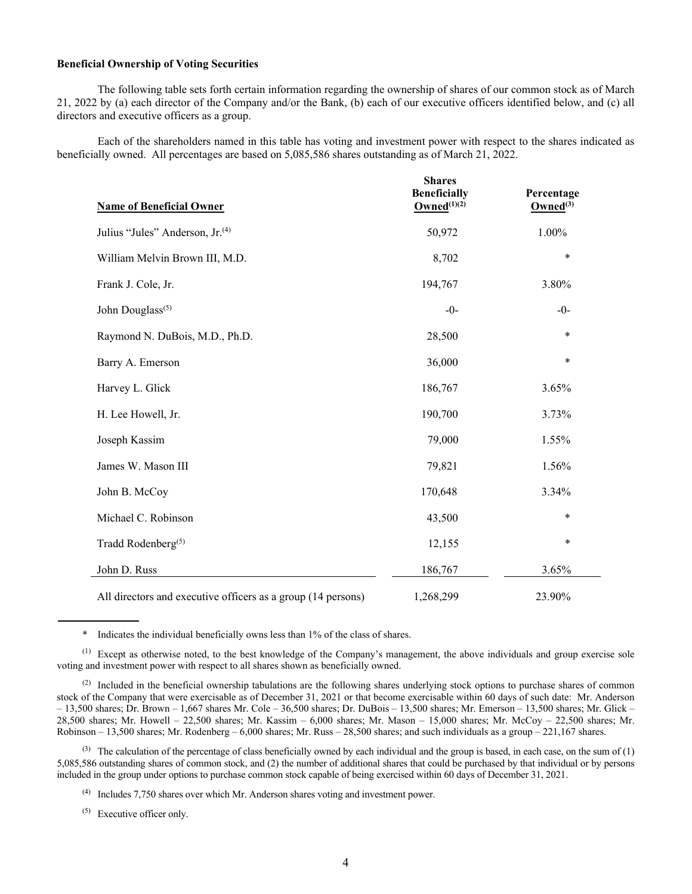# **Beneficial Ownership of Voting Securities**

The following table sets forth certain information regarding the ownership of shares of our common stock as of March 21, 2022 by (a) each director of the Company and/or the Bank, (b) each of our executive officers identified below, and (c) all directors and executive officers as a group.

Each of the shareholders named in this table has voting and investment power with respect to the shares indicated as beneficially owned. All percentages are based on 5,085,586 shares outstanding as of March 21, 2022.

| <b>Name of Beneficial Owner</b>                              | <b>Shares</b><br><b>Beneficially</b><br>Owned $^{(1)(2)}$ | Percentage<br>Owned $(3)$ |
|--------------------------------------------------------------|-----------------------------------------------------------|---------------------------|
| Julius "Jules" Anderson, Jr. <sup>(4)</sup>                  | 50,972                                                    | 1.00%                     |
| William Melvin Brown III, M.D.                               | 8,702                                                     | $\ast$                    |
| Frank J. Cole, Jr.                                           | 194,767                                                   | 3.80%                     |
| John Douglass <sup>(5)</sup>                                 | $-0-$                                                     | $-0-$                     |
| Raymond N. DuBois, M.D., Ph.D.                               | 28,500                                                    | $\ast$                    |
| Barry A. Emerson                                             | 36,000                                                    | *                         |
| Harvey L. Glick                                              | 186,767                                                   | 3.65%                     |
| H. Lee Howell, Jr.                                           | 190,700                                                   | 3.73%                     |
| Joseph Kassim                                                | 79,000                                                    | 1.55%                     |
| James W. Mason III                                           | 79,821                                                    | 1.56%                     |
| John B. McCoy                                                | 170,648                                                   | 3.34%                     |
| Michael C. Robinson                                          | 43,500                                                    | $\ast$                    |
| Tradd Rodenberg <sup>(5)</sup>                               | 12,155                                                    | *                         |
| John D. Russ                                                 | 186,767                                                   | 3.65%                     |
| All directors and executive officers as a group (14 persons) | 1,268,299                                                 | 23.90%                    |

\* Indicates the individual beneficially owns less than 1% of the class of shares.

 $<sup>(1)</sup>$  Except as otherwise noted, to the best knowledge of the Company's management, the above individuals and group exercise sole</sup> voting and investment power with respect to all shares shown as beneficially owned.

(2) Included in the beneficial ownership tabulations are the following shares underlying stock options to purchase shares of common stock of the Company that were exercisable as of December 31, 2021 or that become exercisable within 60 days of such date: Mr. Anderson – 13,500 shares; Dr. Brown – 1,667 shares Mr. Cole – 36,500 shares; Dr. DuBois – 13,500 shares; Mr. Emerson – 13,500 shares; Mr. Glick – 28,500 shares; Mr. Howell – 22,500 shares; Mr. Kassim – 6,000 shares; Mr. Mason – 15,000 shares; Mr. McCoy – 22,500 shares; Mr. Robinson – 13,500 shares; Mr. Rodenberg – 6,000 shares; Mr. Russ – 28,500 shares; and such individuals as a group – 221,167 shares.

(3) The calculation of the percentage of class beneficially owned by each individual and the group is based, in each case, on the sum of  $(1)$ 5,085,586 outstanding shares of common stock, and (2) the number of additional shares that could be purchased by that individual or by persons included in the group under options to purchase common stock capable of being exercised within 60 days of December 31, 2021.

(4) Includes 7,750 shares over which Mr. Anderson shares voting and investment power.

(5) Executive officer only.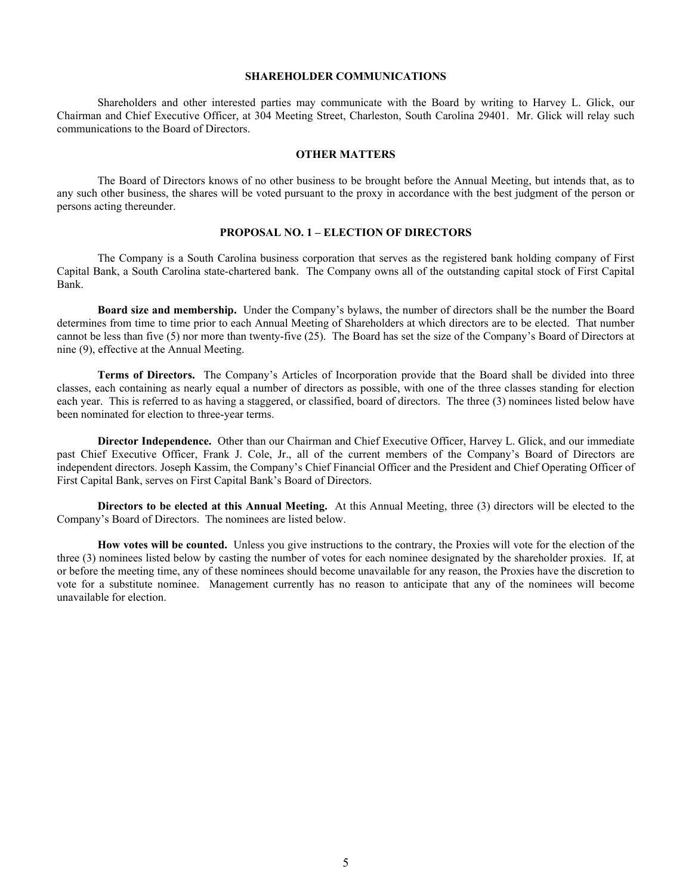## **SHAREHOLDER COMMUNICATIONS**

 Shareholders and other interested parties may communicate with the Board by writing to Harvey L. Glick, our Chairman and Chief Executive Officer, at 304 Meeting Street, Charleston, South Carolina 29401. Mr. Glick will relay such communications to the Board of Directors.

#### **OTHER MATTERS**

The Board of Directors knows of no other business to be brought before the Annual Meeting, but intends that, as to any such other business, the shares will be voted pursuant to the proxy in accordance with the best judgment of the person or persons acting thereunder.

#### **PROPOSAL NO. 1 – ELECTION OF DIRECTORS**

The Company is a South Carolina business corporation that serves as the registered bank holding company of First Capital Bank, a South Carolina state-chartered bank. The Company owns all of the outstanding capital stock of First Capital Bank.

**Board size and membership.** Under the Company's bylaws, the number of directors shall be the number the Board determines from time to time prior to each Annual Meeting of Shareholders at which directors are to be elected. That number cannot be less than five (5) nor more than twenty-five (25). The Board has set the size of the Company's Board of Directors at nine (9), effective at the Annual Meeting.

**Terms of Directors.** The Company's Articles of Incorporation provide that the Board shall be divided into three classes, each containing as nearly equal a number of directors as possible, with one of the three classes standing for election each year. This is referred to as having a staggered, or classified, board of directors. The three (3) nominees listed below have been nominated for election to three-year terms.

**Director Independence.** Other than our Chairman and Chief Executive Officer, Harvey L. Glick, and our immediate past Chief Executive Officer, Frank J. Cole, Jr., all of the current members of the Company's Board of Directors are independent directors. Joseph Kassim, the Company's Chief Financial Officer and the President and Chief Operating Officer of First Capital Bank, serves on First Capital Bank's Board of Directors.

**Directors to be elected at this Annual Meeting.** At this Annual Meeting, three (3) directors will be elected to the Company's Board of Directors. The nominees are listed below.

**How votes will be counted.** Unless you give instructions to the contrary, the Proxies will vote for the election of the three (3) nominees listed below by casting the number of votes for each nominee designated by the shareholder proxies. If, at or before the meeting time, any of these nominees should become unavailable for any reason, the Proxies have the discretion to vote for a substitute nominee. Management currently has no reason to anticipate that any of the nominees will become unavailable for election.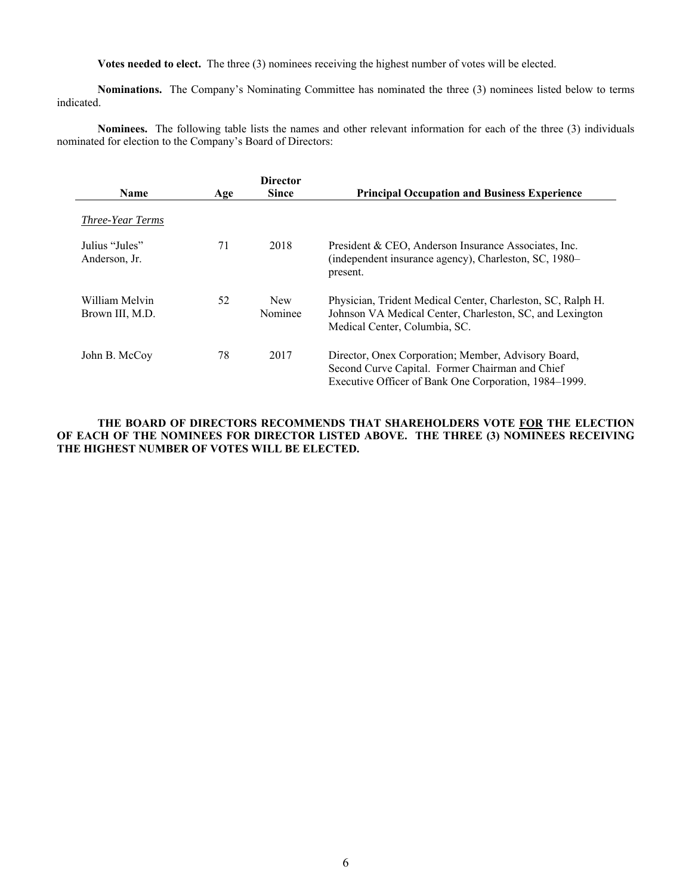**Votes needed to elect.** The three (3) nominees receiving the highest number of votes will be elected.

**Nominations.** The Company's Nominating Committee has nominated the three (3) nominees listed below to terms indicated.

**Nominees.** The following table lists the names and other relevant information for each of the three (3) individuals nominated for election to the Company's Board of Directors:

|                                   |     | <b>Director</b>       |                                                                                                                                                                 |
|-----------------------------------|-----|-----------------------|-----------------------------------------------------------------------------------------------------------------------------------------------------------------|
| <b>Name</b>                       | Age | <b>Since</b>          | <b>Principal Occupation and Business Experience</b>                                                                                                             |
| Three-Year Terms                  |     |                       |                                                                                                                                                                 |
| Julius "Jules"<br>Anderson, Jr.   | 71  | 2018                  | President & CEO, Anderson Insurance Associates, Inc.<br>(independent insurance agency), Charleston, SC, 1980–<br>present.                                       |
| William Melvin<br>Brown III, M.D. | 52  | <b>New</b><br>Nominee | Physician, Trident Medical Center, Charleston, SC, Ralph H.<br>Johnson VA Medical Center, Charleston, SC, and Lexington<br>Medical Center, Columbia, SC.        |
| John B. McCoy                     | 78  | 2017                  | Director, Onex Corporation; Member, Advisory Board,<br>Second Curve Capital. Former Chairman and Chief<br>Executive Officer of Bank One Corporation, 1984–1999. |

**THE BOARD OF DIRECTORS RECOMMENDS THAT SHAREHOLDERS VOTE FOR THE ELECTION OF EACH OF THE NOMINEES FOR DIRECTOR LISTED ABOVE. THE THREE (3) NOMINEES RECEIVING THE HIGHEST NUMBER OF VOTES WILL BE ELECTED.**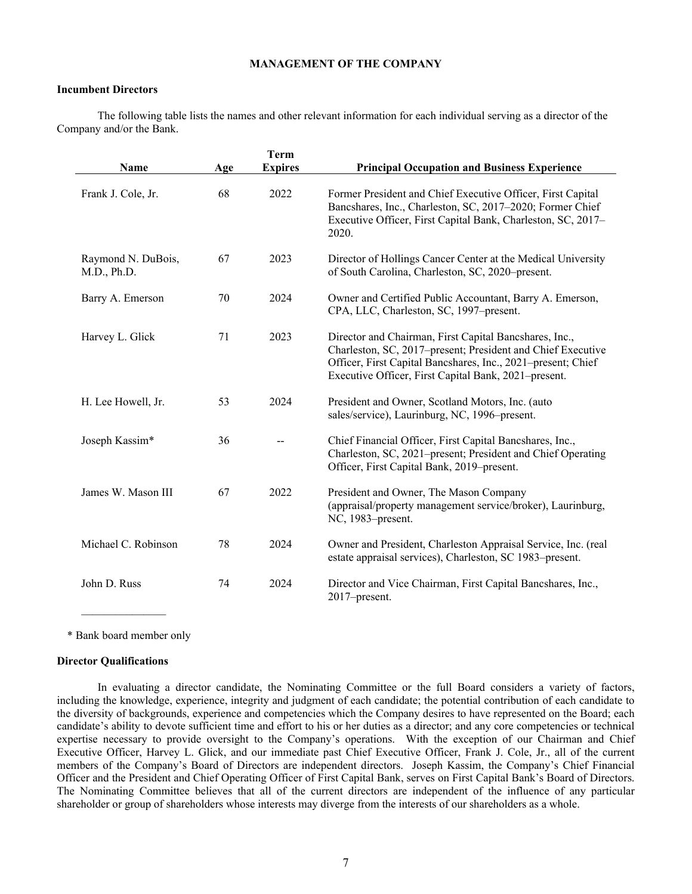# **MANAGEMENT OF THE COMPANY**

#### **Incumbent Directors**

 The following table lists the names and other relevant information for each individual serving as a director of the Company and/or the Bank.

|                                   |     | <b>Term</b>    |                                                                                                                                                                                                                                               |
|-----------------------------------|-----|----------------|-----------------------------------------------------------------------------------------------------------------------------------------------------------------------------------------------------------------------------------------------|
| Name                              | Age | <b>Expires</b> | <b>Principal Occupation and Business Experience</b>                                                                                                                                                                                           |
| Frank J. Cole, Jr.                | 68  | 2022           | Former President and Chief Executive Officer, First Capital<br>Bancshares, Inc., Charleston, SC, 2017-2020; Former Chief<br>Executive Officer, First Capital Bank, Charleston, SC, 2017-<br>2020.                                             |
| Raymond N. DuBois,<br>M.D., Ph.D. | 67  | 2023           | Director of Hollings Cancer Center at the Medical University<br>of South Carolina, Charleston, SC, 2020-present.                                                                                                                              |
| Barry A. Emerson                  | 70  | 2024           | Owner and Certified Public Accountant, Barry A. Emerson,<br>CPA, LLC, Charleston, SC, 1997-present.                                                                                                                                           |
| Harvey L. Glick                   | 71  | 2023           | Director and Chairman, First Capital Bancshares, Inc.,<br>Charleston, SC, 2017-present; President and Chief Executive<br>Officer, First Capital Bancshares, Inc., 2021–present; Chief<br>Executive Officer, First Capital Bank, 2021–present. |
| H. Lee Howell, Jr.                | 53  | 2024           | President and Owner, Scotland Motors, Inc. (auto<br>sales/service), Laurinburg, NC, 1996-present.                                                                                                                                             |
| Joseph Kassim*                    | 36  |                | Chief Financial Officer, First Capital Bancshares, Inc.,<br>Charleston, SC, 2021–present; President and Chief Operating<br>Officer, First Capital Bank, 2019–present.                                                                         |
| James W. Mason III                | 67  | 2022           | President and Owner, The Mason Company<br>(appraisal/property management service/broker), Laurinburg,<br>NC, 1983-present.                                                                                                                    |
| Michael C. Robinson               | 78  | 2024           | Owner and President, Charleston Appraisal Service, Inc. (real<br>estate appraisal services), Charleston, SC 1983-present.                                                                                                                     |
| John D. Russ                      | 74  | 2024           | Director and Vice Chairman, First Capital Bancshares, Inc.,<br>2017-present.                                                                                                                                                                  |
|                                   |     |                |                                                                                                                                                                                                                                               |

\* Bank board member only

#### **Director Qualifications**

In evaluating a director candidate, the Nominating Committee or the full Board considers a variety of factors, including the knowledge, experience, integrity and judgment of each candidate; the potential contribution of each candidate to the diversity of backgrounds, experience and competencies which the Company desires to have represented on the Board; each candidate's ability to devote sufficient time and effort to his or her duties as a director; and any core competencies or technical expertise necessary to provide oversight to the Company's operations. With the exception of our Chairman and Chief Executive Officer, Harvey L. Glick, and our immediate past Chief Executive Officer, Frank J. Cole, Jr., all of the current members of the Company's Board of Directors are independent directors. Joseph Kassim, the Company's Chief Financial Officer and the President and Chief Operating Officer of First Capital Bank, serves on First Capital Bank's Board of Directors. The Nominating Committee believes that all of the current directors are independent of the influence of any particular shareholder or group of shareholders whose interests may diverge from the interests of our shareholders as a whole.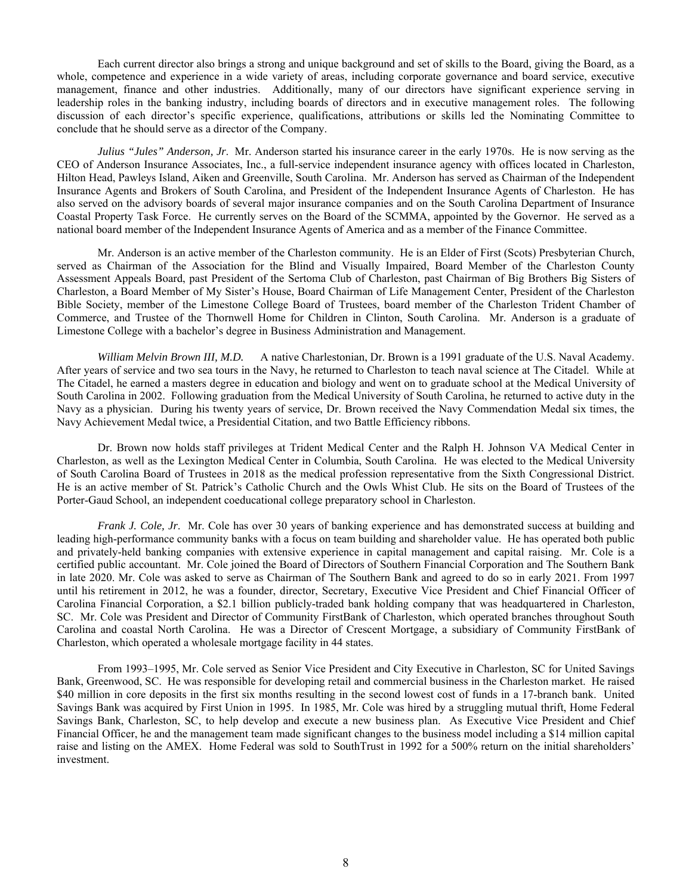Each current director also brings a strong and unique background and set of skills to the Board, giving the Board, as a whole, competence and experience in a wide variety of areas, including corporate governance and board service, executive management, finance and other industries. Additionally, many of our directors have significant experience serving in leadership roles in the banking industry, including boards of directors and in executive management roles. The following discussion of each director's specific experience, qualifications, attributions or skills led the Nominating Committee to conclude that he should serve as a director of the Company.

*Julius "Jules" Anderson, Jr*. Mr. Anderson started his insurance career in the early 1970s. He is now serving as the CEO of Anderson Insurance Associates, Inc., a full-service independent insurance agency with offices located in Charleston, Hilton Head, Pawleys Island, Aiken and Greenville, South Carolina. Mr. Anderson has served as Chairman of the Independent Insurance Agents and Brokers of South Carolina, and President of the Independent Insurance Agents of Charleston. He has also served on the advisory boards of several major insurance companies and on the South Carolina Department of Insurance Coastal Property Task Force. He currently serves on the Board of the SCMMA, appointed by the Governor. He served as a national board member of the Independent Insurance Agents of America and as a member of the Finance Committee.

Mr. Anderson is an active member of the Charleston community. He is an Elder of First (Scots) Presbyterian Church, served as Chairman of the Association for the Blind and Visually Impaired, Board Member of the Charleston County Assessment Appeals Board, past President of the Sertoma Club of Charleston, past Chairman of Big Brothers Big Sisters of Charleston, a Board Member of My Sister's House, Board Chairman of Life Management Center, President of the Charleston Bible Society, member of the Limestone College Board of Trustees, board member of the Charleston Trident Chamber of Commerce, and Trustee of the Thornwell Home for Children in Clinton, South Carolina. Mr. Anderson is a graduate of Limestone College with a bachelor's degree in Business Administration and Management.

*William Melvin Brown III, M.D.* A native Charlestonian, Dr. Brown is a 1991 graduate of the U.S. Naval Academy. After years of service and two sea tours in the Navy, he returned to Charleston to teach naval science at The Citadel. While at The Citadel, he earned a masters degree in education and biology and went on to graduate school at the Medical University of South Carolina in 2002. Following graduation from the Medical University of South Carolina, he returned to active duty in the Navy as a physician. During his twenty years of service, Dr. Brown received the Navy Commendation Medal six times, the Navy Achievement Medal twice, a Presidential Citation, and two Battle Efficiency ribbons.

 Dr. Brown now holds staff privileges at Trident Medical Center and the Ralph H. Johnson VA Medical Center in Charleston, as well as the Lexington Medical Center in Columbia, South Carolina. He was elected to the Medical University of South Carolina Board of Trustees in 2018 as the medical profession representative from the Sixth Congressional District. He is an active member of St. Patrick's Catholic Church and the Owls Whist Club. He sits on the Board of Trustees of the Porter-Gaud School, an independent coeducational college preparatory school in Charleston.

*Frank J. Cole, Jr*. Mr. Cole has over 30 years of banking experience and has demonstrated success at building and leading high‐performance community banks with a focus on team building and shareholder value. He has operated both public and privately‐held banking companies with extensive experience in capital management and capital raising. Mr. Cole is a certified public accountant. Mr. Cole joined the Board of Directors of Southern Financial Corporation and The Southern Bank in late 2020. Mr. Cole was asked to serve as Chairman of The Southern Bank and agreed to do so in early 2021. From 1997 until his retirement in 2012, he was a founder, director, Secretary, Executive Vice President and Chief Financial Officer of Carolina Financial Corporation, a \$2.1 billion publicly‐traded bank holding company that was headquartered in Charleston, SC. Mr. Cole was President and Director of Community FirstBank of Charleston, which operated branches throughout South Carolina and coastal North Carolina. He was a Director of Crescent Mortgage, a subsidiary of Community FirstBank of Charleston, which operated a wholesale mortgage facility in 44 states.

 From 1993–1995, Mr. Cole served as Senior Vice President and City Executive in Charleston, SC for United Savings Bank, Greenwood, SC. He was responsible for developing retail and commercial business in the Charleston market. He raised \$40 million in core deposits in the first six months resulting in the second lowest cost of funds in a 17-branch bank. United Savings Bank was acquired by First Union in 1995. In 1985, Mr. Cole was hired by a struggling mutual thrift, Home Federal Savings Bank, Charleston, SC, to help develop and execute a new business plan. As Executive Vice President and Chief Financial Officer, he and the management team made significant changes to the business model including a \$14 million capital raise and listing on the AMEX. Home Federal was sold to SouthTrust in 1992 for a 500% return on the initial shareholders' investment.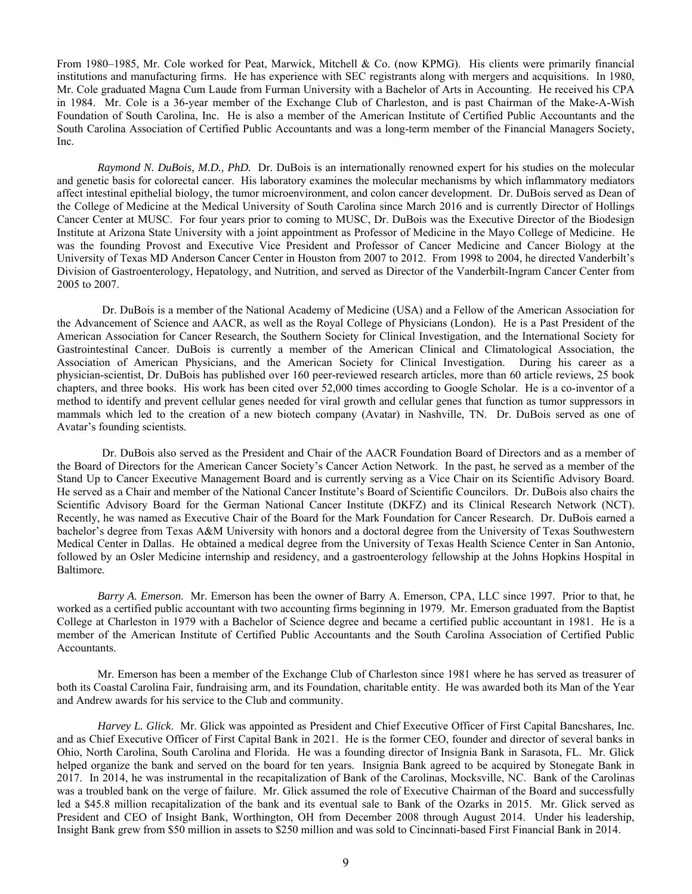From 1980–1985, Mr. Cole worked for Peat, Marwick, Mitchell & Co. (now KPMG). His clients were primarily financial institutions and manufacturing firms. He has experience with SEC registrants along with mergers and acquisitions. In 1980, Mr. Cole graduated Magna Cum Laude from Furman University with a Bachelor of Arts in Accounting. He received his CPA in 1984. Mr. Cole is a 36-year member of the Exchange Club of Charleston, and is past Chairman of the Make-A-Wish Foundation of South Carolina, Inc. He is also a member of the American Institute of Certified Public Accountants and the South Carolina Association of Certified Public Accountants and was a long-term member of the Financial Managers Society, Inc.

*Raymond N. DuBois, M.D., PhD.* Dr. DuBois is an internationally renowned expert for his studies on the molecular and genetic basis for colorectal cancer. His laboratory examines the molecular mechanisms by which inflammatory mediators affect intestinal epithelial biology, the tumor microenvironment, and colon cancer development. Dr. DuBois served as Dean of the College of Medicine at the Medical University of South Carolina since March 2016 and is currently Director of Hollings Cancer Center at MUSC. For four years prior to coming to MUSC, Dr. DuBois was the Executive Director of the Biodesign Institute at Arizona State University with a joint appointment as Professor of Medicine in the Mayo College of Medicine. He was the founding Provost and Executive Vice President and Professor of Cancer Medicine and Cancer Biology at the University of Texas MD Anderson Cancer Center in Houston from 2007 to 2012. From 1998 to 2004, he directed Vanderbilt's Division of Gastroenterology, Hepatology, and Nutrition, and served as Director of the Vanderbilt‐Ingram Cancer Center from 2005 to 2007.

 Dr. DuBois is a member of the National Academy of Medicine (USA) and a Fellow of the American Association for the Advancement of Science and AACR, as well as the Royal College of Physicians (London). He is a Past President of the American Association for Cancer Research, the Southern Society for Clinical Investigation, and the International Society for Gastrointestinal Cancer. DuBois is currently a member of the American Clinical and Climatological Association, the Association of American Physicians, and the American Society for Clinical Investigation. During his career as a physician‐scientist, Dr. DuBois has published over 160 peer-reviewed research articles, more than 60 article reviews, 25 book chapters, and three books. His work has been cited over 52,000 times according to Google Scholar. He is a co-inventor of a method to identify and prevent cellular genes needed for viral growth and cellular genes that function as tumor suppressors in mammals which led to the creation of a new biotech company (Avatar) in Nashville, TN. Dr. DuBois served as one of Avatar's founding scientists.

 Dr. DuBois also served as the President and Chair of the AACR Foundation Board of Directors and as a member of the Board of Directors for the American Cancer Society's Cancer Action Network. In the past, he served as a member of the Stand Up to Cancer Executive Management Board and is currently serving as a Vice Chair on its Scientific Advisory Board. He served as a Chair and member of the National Cancer Institute's Board of Scientific Councilors. Dr. DuBois also chairs the Scientific Advisory Board for the German National Cancer Institute (DKFZ) and its Clinical Research Network (NCT). Recently, he was named as Executive Chair of the Board for the Mark Foundation for Cancer Research. Dr. DuBois earned a bachelor's degree from Texas A&M University with honors and a doctoral degree from the University of Texas Southwestern Medical Center in Dallas. He obtained a medical degree from the University of Texas Health Science Center in San Antonio, followed by an Osler Medicine internship and residency, and a gastroenterology fellowship at the Johns Hopkins Hospital in Baltimore.

 *Barry A. Emerson*. Mr. Emerson has been the owner of Barry A. Emerson, CPA, LLC since 1997. Prior to that, he worked as a certified public accountant with two accounting firms beginning in 1979. Mr. Emerson graduated from the Baptist College at Charleston in 1979 with a Bachelor of Science degree and became a certified public accountant in 1981. He is a member of the American Institute of Certified Public Accountants and the South Carolina Association of Certified Public Accountants.

Mr. Emerson has been a member of the Exchange Club of Charleston since 1981 where he has served as treasurer of both its Coastal Carolina Fair, fundraising arm, and its Foundation, charitable entity. He was awarded both its Man of the Year and Andrew awards for his service to the Club and community.

 *Harvey L. Glick*. Mr. Glick was appointed as President and Chief Executive Officer of First Capital Bancshares, Inc. and as Chief Executive Officer of First Capital Bank in 2021. He is the former CEO, founder and director of several banks in Ohio, North Carolina, South Carolina and Florida. He was a founding director of Insignia Bank in Sarasota, FL. Mr. Glick helped organize the bank and served on the board for ten years. Insignia Bank agreed to be acquired by Stonegate Bank in 2017. In 2014, he was instrumental in the recapitalization of Bank of the Carolinas, Mocksville, NC. Bank of the Carolinas was a troubled bank on the verge of failure. Mr. Glick assumed the role of Executive Chairman of the Board and successfully led a \$45.8 million recapitalization of the bank and its eventual sale to Bank of the Ozarks in 2015. Mr. Glick served as President and CEO of Insight Bank, Worthington, OH from December 2008 through August 2014. Under his leadership, Insight Bank grew from \$50 million in assets to \$250 million and was sold to Cincinnati-based First Financial Bank in 2014.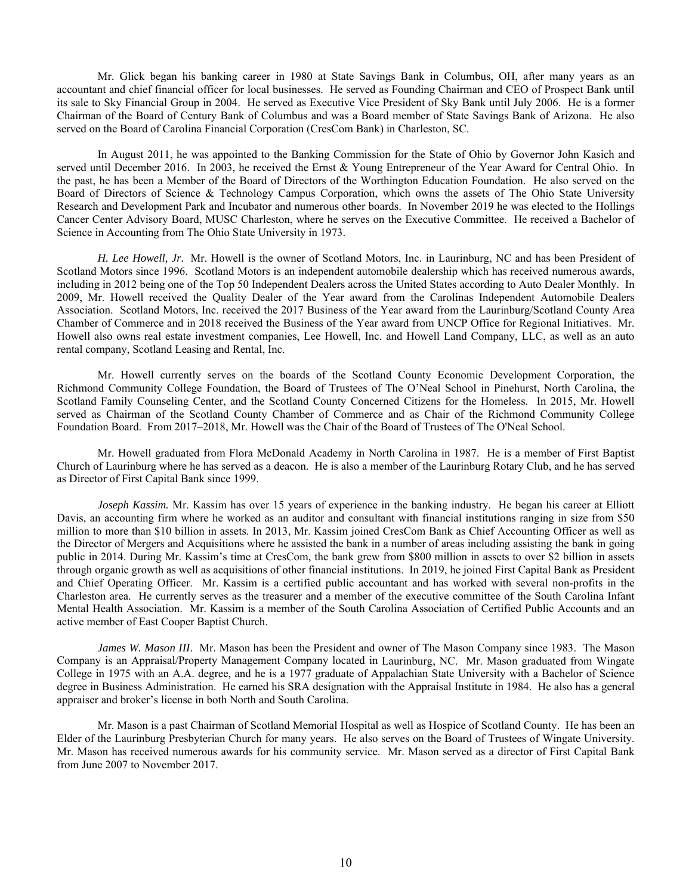Mr. Glick began his banking career in 1980 at State Savings Bank in Columbus, OH, after many years as an accountant and chief financial officer for local businesses. He served as Founding Chairman and CEO of Prospect Bank until its sale to Sky Financial Group in 2004. He served as Executive Vice President of Sky Bank until July 2006. He is a former Chairman of the Board of Century Bank of Columbus and was a Board member of State Savings Bank of Arizona. He also served on the Board of Carolina Financial Corporation (CresCom Bank) in Charleston, SC.

 In August 2011, he was appointed to the Banking Commission for the State of Ohio by Governor John Kasich and served until December 2016. In 2003, he received the Ernst & Young Entrepreneur of the Year Award for Central Ohio. In the past, he has been a Member of the Board of Directors of the Worthington Education Foundation. He also served on the Board of Directors of Science & Technology Campus Corporation, which owns the assets of The Ohio State University Research and Development Park and Incubator and numerous other boards. In November 2019 he was elected to the Hollings Cancer Center Advisory Board, MUSC Charleston, where he serves on the Executive Committee. He received a Bachelor of Science in Accounting from The Ohio State University in 1973.

*H. Lee Howell, Jr.* Mr. Howell is the owner of Scotland Motors, Inc. in Laurinburg, NC and has been President of Scotland Motors since 1996. Scotland Motors is an independent automobile dealership which has received numerous awards, including in 2012 being one of the Top 50 Independent Dealers across the United States according to Auto Dealer Monthly. In 2009, Mr. Howell received the Quality Dealer of the Year award from the Carolinas Independent Automobile Dealers Association. Scotland Motors, Inc. received the 2017 Business of the Year award from the Laurinburg/Scotland County Area Chamber of Commerce and in 2018 received the Business of the Year award from UNCP Office for Regional Initiatives. Mr. Howell also owns real estate investment companies, Lee Howell, Inc. and Howell Land Company, LLC, as well as an auto rental company, Scotland Leasing and Rental, Inc.

 Mr. Howell currently serves on the boards of the Scotland County Economic Development Corporation, the Richmond Community College Foundation, the Board of Trustees of The O'Neal School in Pinehurst, North Carolina, the Scotland Family Counseling Center, and the Scotland County Concerned Citizens for the Homeless. In 2015, Mr. Howell served as Chairman of the Scotland County Chamber of Commerce and as Chair of the Richmond Community College Foundation Board. From 2017–2018, Mr. Howell was the Chair of the Board of Trustees of The O'Neal School.

 Mr. Howell graduated from Flora McDonald Academy in North Carolina in 1987. He is a member of First Baptist Church of Laurinburg where he has served as a deacon. He is also a member of the Laurinburg Rotary Club, and he has served as Director of First Capital Bank since 1999.

*Joseph Kassim.* Mr. Kassim has over 15 years of experience in the banking industry. He began his career at Elliott Davis, an accounting firm where he worked as an auditor and consultant with financial institutions ranging in size from \$50 million to more than \$10 billion in assets. In 2013, Mr. Kassim joined CresCom Bank as Chief Accounting Officer as well as the Director of Mergers and Acquisitions where he assisted the bank in a number of areas including assisting the bank in going public in 2014. During Mr. Kassim's time at CresCom, the bank grew from \$800 million in assets to over \$2 billion in assets through organic growth as well as acquisitions of other financial institutions. In 2019, he joined First Capital Bank as President and Chief Operating Officer. Mr. Kassim is a certified public accountant and has worked with several non-profits in the Charleston area. He currently serves as the treasurer and a member of the executive committee of the South Carolina Infant Mental Health Association. Mr. Kassim is a member of the South Carolina Association of Certified Public Accounts and an active member of East Cooper Baptist Church.

 *James W. Mason III*. Mr. Mason has been the President and owner of The Mason Company since 1983. The Mason Company is an Appraisal/Property Management Company located in Laurinburg, NC. Mr. Mason graduated from Wingate College in 1975 with an A.A. degree, and he is a 1977 graduate of Appalachian State University with a Bachelor of Science degree in Business Administration. He earned his SRA designation with the Appraisal Institute in 1984. He also has a general appraiser and broker's license in both North and South Carolina.

 Mr. Mason is a past Chairman of Scotland Memorial Hospital as well as Hospice of Scotland County. He has been an Elder of the Laurinburg Presbyterian Church for many years. He also serves on the Board of Trustees of Wingate University. Mr. Mason has received numerous awards for his community service. Mr. Mason served as a director of First Capital Bank from June 2007 to November 2017.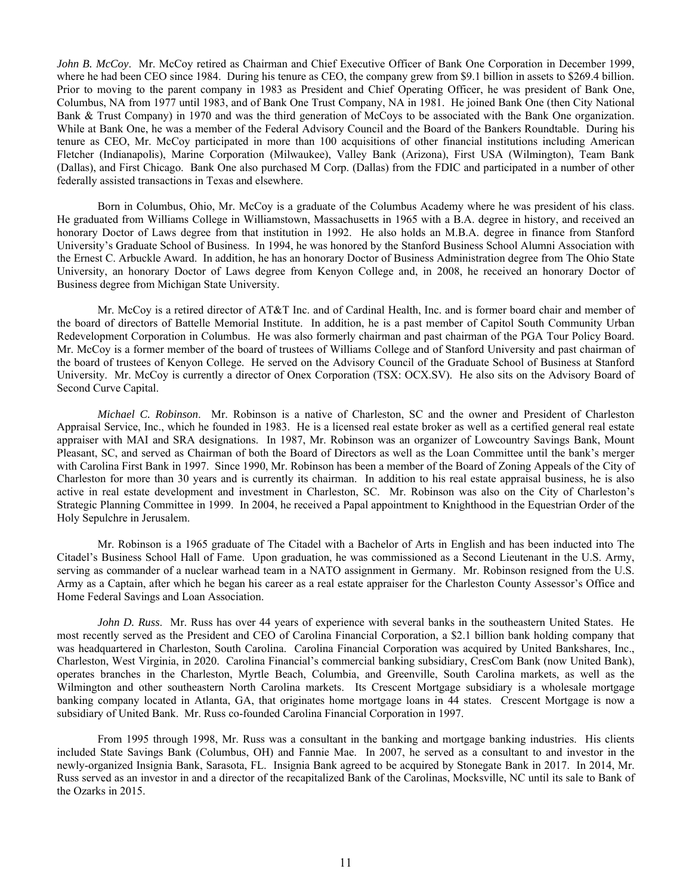*John B. McCoy*. Mr. McCoy retired as Chairman and Chief Executive Officer of Bank One Corporation in December 1999, where he had been CEO since 1984. During his tenure as CEO, the company grew from \$9.1 billion in assets to \$269.4 billion. Prior to moving to the parent company in 1983 as President and Chief Operating Officer, he was president of Bank One, Columbus, NA from 1977 until 1983, and of Bank One Trust Company, NA in 1981. He joined Bank One (then City National Bank & Trust Company) in 1970 and was the third generation of McCoys to be associated with the Bank One organization. While at Bank One, he was a member of the Federal Advisory Council and the Board of the Bankers Roundtable. During his tenure as CEO, Mr. McCoy participated in more than 100 acquisitions of other financial institutions including American Fletcher (Indianapolis), Marine Corporation (Milwaukee), Valley Bank (Arizona), First USA (Wilmington), Team Bank (Dallas), and First Chicago. Bank One also purchased M Corp. (Dallas) from the FDIC and participated in a number of other federally assisted transactions in Texas and elsewhere.

 Born in Columbus, Ohio, Mr. McCoy is a graduate of the Columbus Academy where he was president of his class. He graduated from Williams College in Williamstown, Massachusetts in 1965 with a B.A. degree in history, and received an honorary Doctor of Laws degree from that institution in 1992. He also holds an M.B.A. degree in finance from Stanford University's Graduate School of Business. In 1994, he was honored by the Stanford Business School Alumni Association with the Ernest C. Arbuckle Award. In addition, he has an honorary Doctor of Business Administration degree from The Ohio State University, an honorary Doctor of Laws degree from Kenyon College and, in 2008, he received an honorary Doctor of Business degree from Michigan State University.

 Mr. McCoy is a retired director of AT&T Inc. and of Cardinal Health, Inc. and is former board chair and member of the board of directors of Battelle Memorial Institute. In addition, he is a past member of Capitol South Community Urban Redevelopment Corporation in Columbus. He was also formerly chairman and past chairman of the PGA Tour Policy Board. Mr. McCoy is a former member of the board of trustees of Williams College and of Stanford University and past chairman of the board of trustees of Kenyon College. He served on the Advisory Council of the Graduate School of Business at Stanford University. Mr. McCoy is currently a director of Onex Corporation (TSX: OCX.SV). He also sits on the Advisory Board of Second Curve Capital.

*Michael C. Robinson*. Mr. Robinson is a native of Charleston, SC and the owner and President of Charleston Appraisal Service, Inc., which he founded in 1983. He is a licensed real estate broker as well as a certified general real estate appraiser with MAI and SRA designations. In 1987, Mr. Robinson was an organizer of Lowcountry Savings Bank, Mount Pleasant, SC, and served as Chairman of both the Board of Directors as well as the Loan Committee until the bank's merger with Carolina First Bank in 1997. Since 1990, Mr. Robinson has been a member of the Board of Zoning Appeals of the City of Charleston for more than 30 years and is currently its chairman. In addition to his real estate appraisal business, he is also active in real estate development and investment in Charleston, SC. Mr. Robinson was also on the City of Charleston's Strategic Planning Committee in 1999. In 2004, he received a Papal appointment to Knighthood in the Equestrian Order of the Holy Sepulchre in Jerusalem.

 Mr. Robinson is a 1965 graduate of The Citadel with a Bachelor of Arts in English and has been inducted into The Citadel's Business School Hall of Fame. Upon graduation, he was commissioned as a Second Lieutenant in the U.S. Army, serving as commander of a nuclear warhead team in a NATO assignment in Germany. Mr. Robinson resigned from the U.S. Army as a Captain, after which he began his career as a real estate appraiser for the Charleston County Assessor's Office and Home Federal Savings and Loan Association.

*John D. Russ.* Mr. Russ has over 44 years of experience with several banks in the southeastern United States. He most recently served as the President and CEO of Carolina Financial Corporation, a \$2.1 billion bank holding company that was headquartered in Charleston, South Carolina. Carolina Financial Corporation was acquired by United Bankshares, Inc., Charleston, West Virginia, in 2020. Carolina Financial's commercial banking subsidiary, CresCom Bank (now United Bank), operates branches in the Charleston, Myrtle Beach, Columbia, and Greenville, South Carolina markets, as well as the Wilmington and other southeastern North Carolina markets. Its Crescent Mortgage subsidiary is a wholesale mortgage banking company located in Atlanta, GA, that originates home mortgage loans in 44 states. Crescent Mortgage is now a subsidiary of United Bank. Mr. Russ co-founded Carolina Financial Corporation in 1997.

 From 1995 through 1998, Mr. Russ was a consultant in the banking and mortgage banking industries. His clients included State Savings Bank (Columbus, OH) and Fannie Mae. In 2007, he served as a consultant to and investor in the newly-organized Insignia Bank, Sarasota, FL. Insignia Bank agreed to be acquired by Stonegate Bank in 2017. In 2014, Mr. Russ served as an investor in and a director of the recapitalized Bank of the Carolinas, Mocksville, NC until its sale to Bank of the Ozarks in 2015.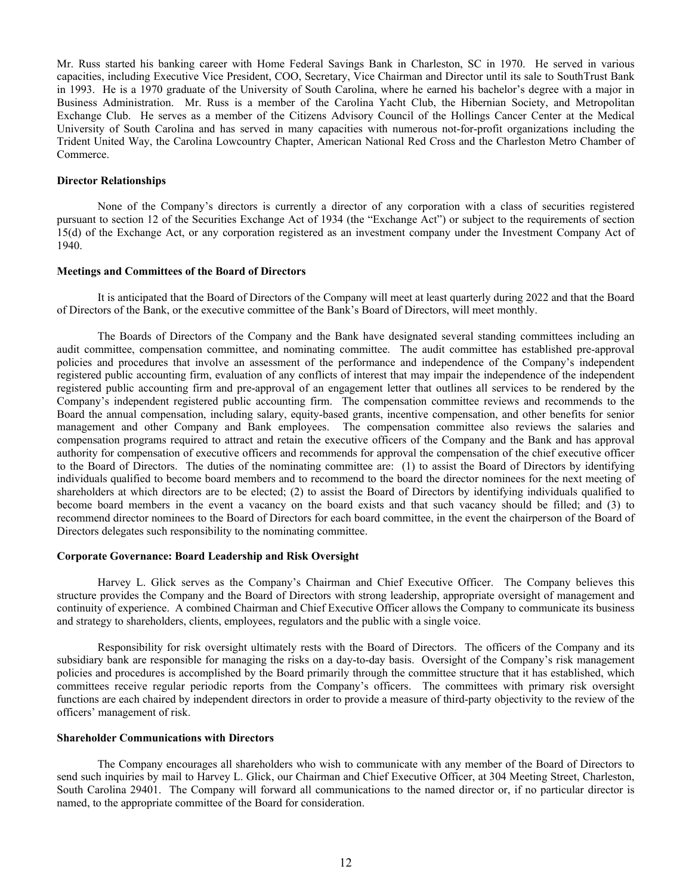Mr. Russ started his banking career with Home Federal Savings Bank in Charleston, SC in 1970. He served in various capacities, including Executive Vice President, COO, Secretary, Vice Chairman and Director until its sale to SouthTrust Bank in 1993. He is a 1970 graduate of the University of South Carolina, where he earned his bachelor's degree with a major in Business Administration. Mr. Russ is a member of the Carolina Yacht Club, the Hibernian Society, and Metropolitan Exchange Club. He serves as a member of the Citizens Advisory Council of the Hollings Cancer Center at the Medical University of South Carolina and has served in many capacities with numerous not-for-profit organizations including the Trident United Way, the Carolina Lowcountry Chapter, American National Red Cross and the Charleston Metro Chamber of Commerce.

#### **Director Relationships**

None of the Company's directors is currently a director of any corporation with a class of securities registered pursuant to section 12 of the Securities Exchange Act of 1934 (the "Exchange Act") or subject to the requirements of section 15(d) of the Exchange Act, or any corporation registered as an investment company under the Investment Company Act of 1940.

#### **Meetings and Committees of the Board of Directors**

It is anticipated that the Board of Directors of the Company will meet at least quarterly during 2022 and that the Board of Directors of the Bank, or the executive committee of the Bank's Board of Directors, will meet monthly.

The Boards of Directors of the Company and the Bank have designated several standing committees including an audit committee, compensation committee, and nominating committee. The audit committee has established pre-approval policies and procedures that involve an assessment of the performance and independence of the Company's independent registered public accounting firm, evaluation of any conflicts of interest that may impair the independence of the independent registered public accounting firm and pre-approval of an engagement letter that outlines all services to be rendered by the Company's independent registered public accounting firm. The compensation committee reviews and recommends to the Board the annual compensation, including salary, equity-based grants, incentive compensation, and other benefits for senior management and other Company and Bank employees. The compensation committee also reviews the salaries and compensation programs required to attract and retain the executive officers of the Company and the Bank and has approval authority for compensation of executive officers and recommends for approval the compensation of the chief executive officer to the Board of Directors. The duties of the nominating committee are: (1) to assist the Board of Directors by identifying individuals qualified to become board members and to recommend to the board the director nominees for the next meeting of shareholders at which directors are to be elected; (2) to assist the Board of Directors by identifying individuals qualified to become board members in the event a vacancy on the board exists and that such vacancy should be filled; and (3) to recommend director nominees to the Board of Directors for each board committee, in the event the chairperson of the Board of Directors delegates such responsibility to the nominating committee.

#### **Corporate Governance: Board Leadership and Risk Oversight**

Harvey L. Glick serves as the Company's Chairman and Chief Executive Officer. The Company believes this structure provides the Company and the Board of Directors with strong leadership, appropriate oversight of management and continuity of experience. A combined Chairman and Chief Executive Officer allows the Company to communicate its business and strategy to shareholders, clients, employees, regulators and the public with a single voice.

Responsibility for risk oversight ultimately rests with the Board of Directors. The officers of the Company and its subsidiary bank are responsible for managing the risks on a day-to-day basis. Oversight of the Company's risk management policies and procedures is accomplished by the Board primarily through the committee structure that it has established, which committees receive regular periodic reports from the Company's officers. The committees with primary risk oversight functions are each chaired by independent directors in order to provide a measure of third-party objectivity to the review of the officers' management of risk.

## **Shareholder Communications with Directors**

The Company encourages all shareholders who wish to communicate with any member of the Board of Directors to send such inquiries by mail to Harvey L. Glick, our Chairman and Chief Executive Officer, at 304 Meeting Street, Charleston, South Carolina 29401. The Company will forward all communications to the named director or, if no particular director is named, to the appropriate committee of the Board for consideration.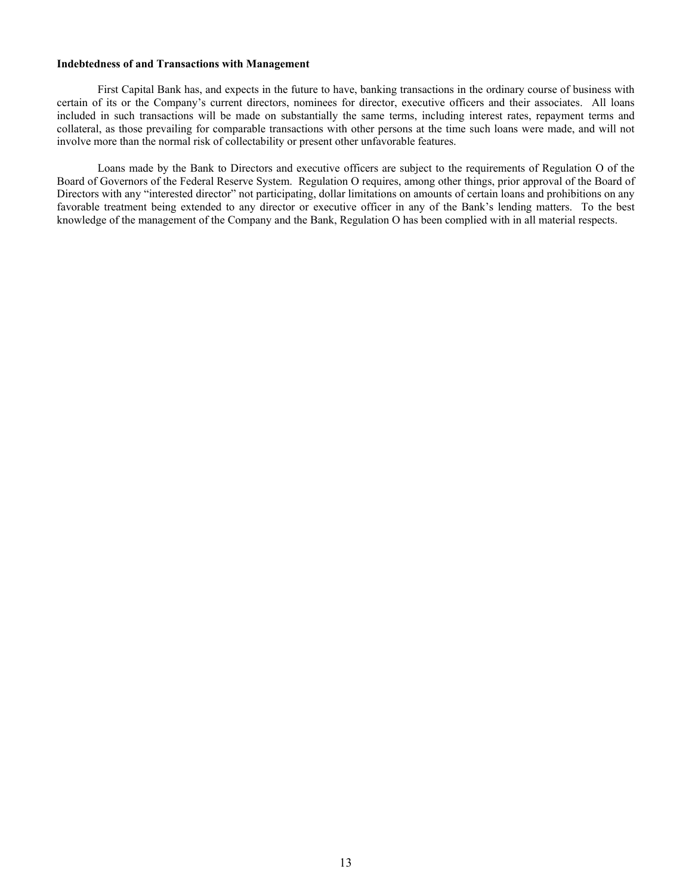# **Indebtedness of and Transactions with Management**

First Capital Bank has, and expects in the future to have, banking transactions in the ordinary course of business with certain of its or the Company's current directors, nominees for director, executive officers and their associates. All loans included in such transactions will be made on substantially the same terms, including interest rates, repayment terms and collateral, as those prevailing for comparable transactions with other persons at the time such loans were made, and will not involve more than the normal risk of collectability or present other unfavorable features.

Loans made by the Bank to Directors and executive officers are subject to the requirements of Regulation O of the Board of Governors of the Federal Reserve System. Regulation O requires, among other things, prior approval of the Board of Directors with any "interested director" not participating, dollar limitations on amounts of certain loans and prohibitions on any favorable treatment being extended to any director or executive officer in any of the Bank's lending matters. To the best knowledge of the management of the Company and the Bank, Regulation O has been complied with in all material respects.